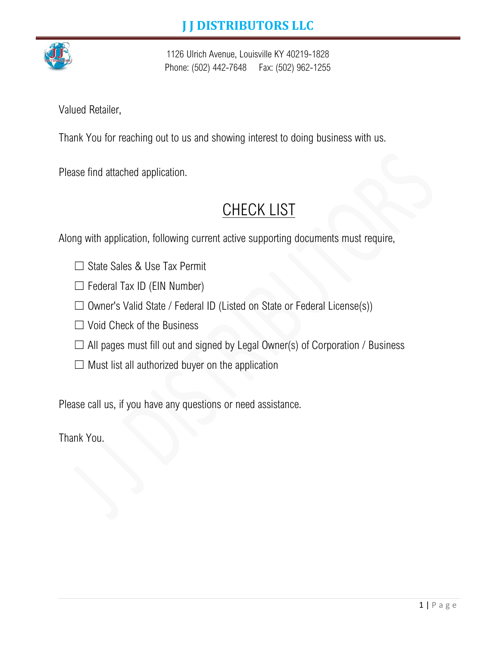

1126 Ulrich Avenue, Louisville KY 40219-1828 Phone: (502) 442-7648 Fax: (502) 962-1255

Valued Retailer,

Thank You for reaching out to us and showing interest to doing business with us.

Please find attached application.

# **CHECK LIST**

Along with application, following current active supporting documents must require,

- ☐ State Sales & Use Tax Permit
- $\Box$  Federal Tax ID (EIN Number)
- $\Box$  Owner's Valid State / Federal ID (Listed on State or Federal License(s))
- ☐ Void Check of the Business
- $\Box$  All pages must fill out and signed by Legal Owner(s) of Corporation / Business
- $\Box$  Must list all authorized buyer on the application

Please call us, if you have any questions or need assistance.

Thank You.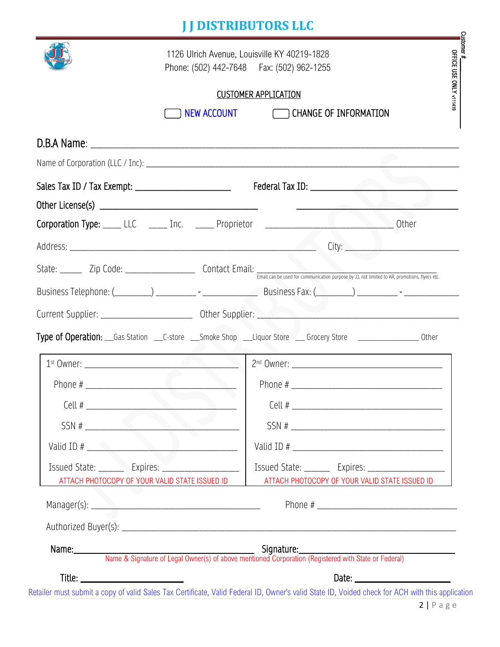# **J J DISTRIBUTORS LLC**

|                                                                                                            | Phone: (502) 442-7648   Fax: (502) 962-1255                                                               |                                                        |
|------------------------------------------------------------------------------------------------------------|-----------------------------------------------------------------------------------------------------------|--------------------------------------------------------|
|                                                                                                            | <b>CUSTOMER APPLICATION</b>                                                                               |                                                        |
|                                                                                                            | NEW ACCOUNT CHANGE OF INFORMATION                                                                         |                                                        |
|                                                                                                            |                                                                                                           |                                                        |
|                                                                                                            |                                                                                                           |                                                        |
|                                                                                                            |                                                                                                           |                                                        |
|                                                                                                            |                                                                                                           |                                                        |
|                                                                                                            | Corporation Type: LLC _____ Inc. _____ Proprietor ______________________________ Other                    |                                                        |
|                                                                                                            |                                                                                                           |                                                        |
|                                                                                                            |                                                                                                           |                                                        |
|                                                                                                            |                                                                                                           |                                                        |
|                                                                                                            |                                                                                                           |                                                        |
|                                                                                                            |                                                                                                           |                                                        |
|                                                                                                            |                                                                                                           |                                                        |
|                                                                                                            | Type of Operation: Gas Station C-store Smoke Shop Liquor Store Store Corocery Store Communication: Cother |                                                        |
| 1 <sup>st</sup> Owner:                                                                                     |                                                                                                           |                                                        |
|                                                                                                            |                                                                                                           |                                                        |
| $Cell$ #                                                                                                   |                                                                                                           |                                                        |
| SSN #                                                                                                      |                                                                                                           |                                                        |
|                                                                                                            |                                                                                                           |                                                        |
| Issued State: _________ Expires: _______________________<br>ATTACH PHOTOCOPY OF YOUR VALID STATE ISSUED ID |                                                                                                           | ATTACH PHOTOCOPY OF YOUR VALID STATE ISSUED ID         |
|                                                                                                            |                                                                                                           | Issued State: ________ Expires: ______________________ |
|                                                                                                            |                                                                                                           |                                                        |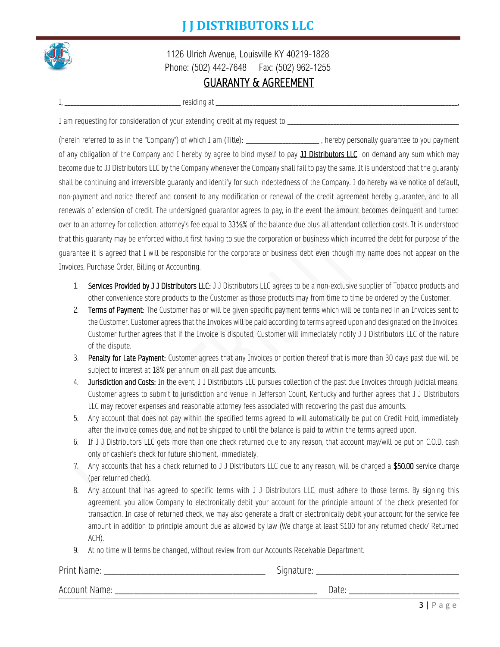#### **J J DISTRIBUTORS LLC**



1126 Ulrich Avenue, Louisville KY 40219-1828 Phone: (502) 442-7648 Fax: (502) 962-1255

#### GUARANTY & AGREEMENT

| $\cdots$    |               |  |
|-------------|---------------|--|
| residing at |               |  |
|             |               |  |
| _____       | _____________ |  |

I am requesting for consideration of your extending credit at my request to \_\_\_\_\_

(herein referred to as in the "Company") of which I am (Title): example the state of personally quarantee to you payment of any obligation of the Company and I hereby by agree to bind myself to pay **JJ Distributors LLC** on demand any sum which may become due to JJ Distributors LLC by the Company whenever the Company shall fail to pay the same. It is understood that the guaranty shall be continuing and irreversible guaranty and identify for such indebtedness of the Company. I do hereby waive notice of default, non-payment and notice thereof and consent to any modification or renewal of the credit agreement hereby guarantee, and to all renewals of extension of credit. The undersigned guarantor agrees to pay, in the event the amount becomes delinquent and turned over to an attorney for collection, attorney's fee equal to 33⅓% of the balance due plus all attendant collection costs. It is understood that this guaranty may be enforced without first having to sue the corporation or business which incurred the debt for purpose of the guarantee it is agreed that I will be responsible for the corporate or business debt even though my name does not appear on the Invoices, Purchase Order, Billing or Accounting.

- 1. Services Provided by J J Distributors LLC: J J Distributors LLC agrees to be a non-exclusive supplier of Tobacco products and other convenience store products to the Customer as those products may from time to time be ordered by the Customer.
- 2. Terms of Payment: The Customer has or will be given specific payment terms which will be contained in an Invoices sent to the Customer. Customer agrees that the Invoices will be paid according to terms agreed upon and designated on the Invoices. Customer further agrees that if the Invoice is disputed, Customer will immediately notify J J Distributors LLC of the nature of the dispute.
- 3. Penalty for Late Payment: Customer agrees that any Invoices or portion thereof that is more than 30 days past due will be subject to interest at 18% per annum on all past due amounts.
- 4. Jurisdiction and Costs: In the event, J J Distributors LLC pursues collection of the past due Invoices through judicial means, Customer agrees to submit to jurisdiction and venue in Jefferson Count, Kentucky and further agrees that J J Distributors LLC may recover expenses and reasonable attorney fees associated with recovering the past due amounts.
- 5. Any account that does not pay within the specified terms agreed to will automatically be put on Credit Hold, immediately after the invoice comes due, and not be shipped to until the balance is paid to within the terms agreed upon.
- 6. If J J Distributors LLC gets more than one check returned due to any reason, that account may/will be put on C.O.D. cash only or cashier's check for future shipment, immediately.
- 7. Any accounts that has a check returned to J J Distributors LLC due to any reason, will be charged a \$50.00 service charge (per returned check).
- 8. Any account that has agreed to specific terms with J J Distributors LLC, must adhere to those terms. By signing this agreement, you allow Company to electronically debit your account for the principle amount of the check presented for transaction. In case of returned check, we may also generate a draft or electronically debit your account for the service fee amount in addition to principle amount due as allowed by law (We charge at least \$100 for any returned check/ Returned ACH).
- 9. At no time will terms be changed, without review from our Accounts Receivable Department.

| Print<br>wallle. | $\overline{\phantom{a}}$<br>lidtui<br>יטוני<br>◡ |
|------------------|--------------------------------------------------|
| Accoup           | ◡                                                |
| Name             | Date:                                            |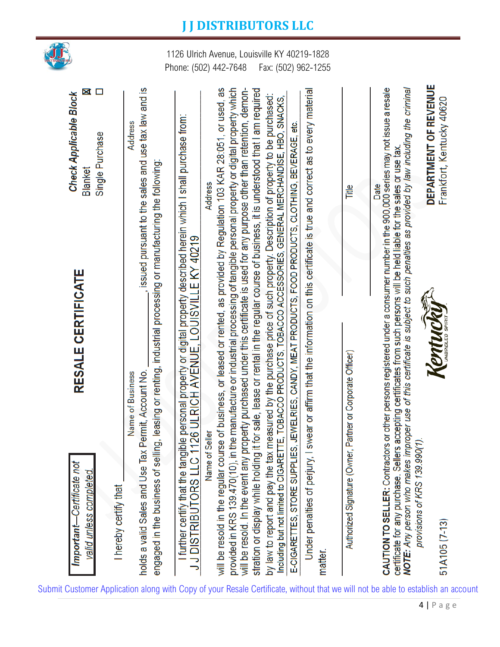

| Important-Certificate not                                                                                                                                                                                                                                                                                                                                                                            | <b>RESALE CERTIFICATE</b>                                                                           | <b>Check Applicable Block</b>                                   |
|------------------------------------------------------------------------------------------------------------------------------------------------------------------------------------------------------------------------------------------------------------------------------------------------------------------------------------------------------------------------------------------------------|-----------------------------------------------------------------------------------------------------|-----------------------------------------------------------------|
| valid unless completed.<br>I hereby certify that                                                                                                                                                                                                                                                                                                                                                     |                                                                                                     | X<br>□<br>Single Purchase<br>Blanket                            |
| engaged in the business of selling, leasing or renting, industrial processing or manufacturing the following:<br>Permit, Account No.<br>Name of Business<br>holds a valid Sales and Use Tax                                                                                                                                                                                                          |                                                                                                     | sissued pursuant to the sales and use tax law and is<br>Address |
| further certify that the tangible personal property or digital property described herein which I shall purchase from:<br>J DISTRIBUTORS LLC 1126 ULRICH AVENUE, LOUISVILLE KY 40219                                                                                                                                                                                                                  |                                                                                                     |                                                                 |
| will be resold in the regular course of business, or leased or rented, as provided by Regulation 103 KAR 28:051, or used, as<br>provided in KRS 139.470(10), in the manufacture or industrial processing of tangible personal property or digital property which<br><b>Seller</b><br>Name of                                                                                                         |                                                                                                     | Address                                                         |
| will be resold. In the event any property purchased under this certificate is used for any purpose other than retention, demon-<br>stration or display while holding                                                                                                                                                                                                                                 | it for sale, lease or rental in the regular course of business, it is understood that I am required |                                                                 |
| by law to report and pay the tax measured by the purchase price of such property. Description of property to be purchased:<br>Including but not limited to CIGARETTE, TOBACCO PRODUCTS, TOBACCO ACCESSORIES, GENERAL MERCHANDISE, HBO, SNACKS,<br>E-CIGARETTES, STORE SUPPLIES, JEWELRIES, CANDY, MEAT PRODUCTS, FOOD PRODUCTS, CLOTHING, BEVERAGE, etc.                                             |                                                                                                     |                                                                 |
| Under penalties of perjury, I                                                                                                                                                                                                                                                                                                                                                                        | swear or affirm that the information on this certificate is true and correct as to every material   |                                                                 |
| matter.                                                                                                                                                                                                                                                                                                                                                                                              |                                                                                                     |                                                                 |
| Partner or Corporate Officer)<br>Authorized Signature (Owner,                                                                                                                                                                                                                                                                                                                                        |                                                                                                     | Title                                                           |
| NOTE: Any person who makes improper use of this certificate is subject to such penalties as provided by law including the criminal<br>CAUTION TO SELLER: Contractors or other persons registered under a consumer number in the 900,000 series may not issue a resale<br>certificate for any purchase. Sellers accepting certificates from such persons will be held liable for the sales or use tax |                                                                                                     | Date                                                            |
| provisions of KRS 139.990(1).<br>51A105 (7-13)                                                                                                                                                                                                                                                                                                                                                       | Kentuckil                                                                                           | DEPARTMENT OF REVENUE<br>Frankfort, Kentucky 40620              |

#### **J J DISTRIBUTORS LLC**

1126 Ulrich Avenue, Louisville KY 40219-1828 Phone: (502) 442-7648 Fax: (502) 962-1255

Submit Customer Application along with Copy of your Resale Certificate, without that we will not be able to establish an account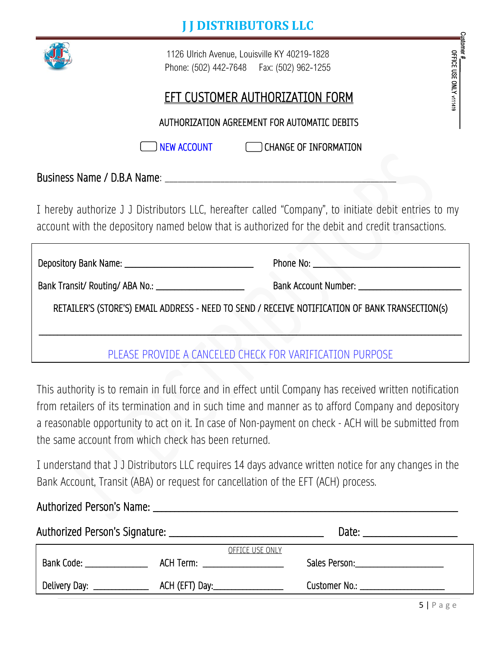

1126 Ulrich Avenue, Louisville KY 40219-1828 Phone: (502) 442-7648 Fax: (502) 962-1255

### EFT CUSTOMER AUTHORIZATION FORM

AUTHORIZATION AGREEMENT FOR AUTOMATIC DEBITS

I NEW ACCOUNT CHANGE OF INFORMATION

Business Name / D.B.A Name:

I hereby authorize J J Distributors LLC, hereafter called "Company", to initiate debit entries to my account with the depository named below that is authorized for the debit and credit transactions.

|                                                                                                 | Phone No: |
|-------------------------------------------------------------------------------------------------|-----------|
| Bank Transit/ Routing/ ABA No.: \[\]                                                            |           |
| RETAILER'S (STORE'S) EMAIL ADDRESS - NEED TO SEND / RECEIVE NOTIFICATION OF BANK TRANSECTION(s) |           |
|                                                                                                 |           |
| PLEASE PROVIDE A CANCELED CHECK FOR VARIFICATION PURPOSE                                        |           |

This authority is to remain in full force and in effect until Company has received written notification from retailers of its termination and in such time and manner as to afford Company and depository a reasonable opportunity to act on it. In case of Non-payment on check - ACH will be submitted from the same account from which check has been returned.

I understand that J J Distributors LLC requires 14 days advance written notice for any changes in the Bank Account, Transit (ABA) or request for cancellation of the EFT (ACH) process.

|                              |                                    |                 | Date: _______________________            |  |
|------------------------------|------------------------------------|-----------------|------------------------------------------|--|
|                              |                                    | OFFICE USE ONLY |                                          |  |
| Bank Code: ________________  |                                    |                 | Sales Person: __________________________ |  |
| Delivery Day: ______________ | ACH (EFT) Day:____________________ |                 | Customer No.: _______________________    |  |

Customer #\_\_\_\_ OFFICE USE ONLY

v111419